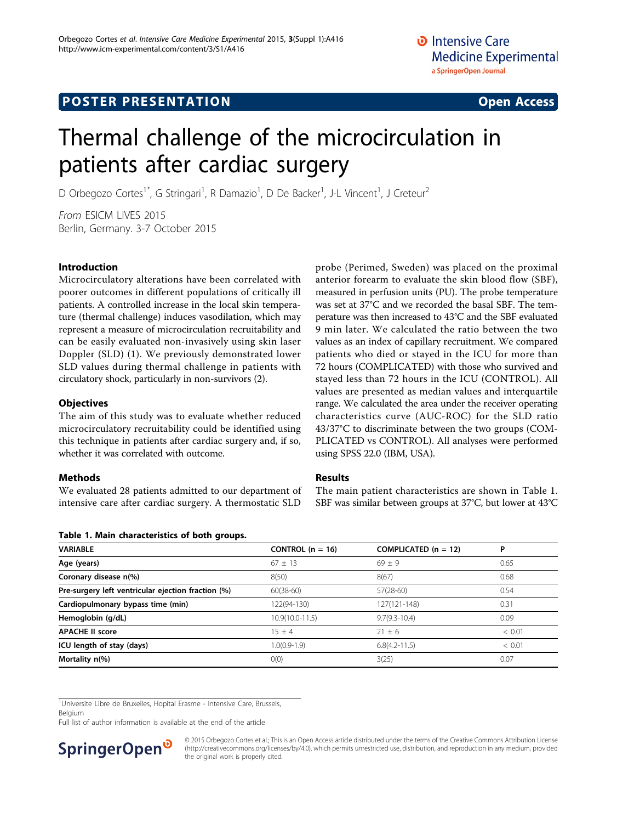# Thermal challenge of the microcirculation in patients after cardiac surgery

D Orbegozo Cortes<sup>1\*</sup>, G Stringari<sup>1</sup>, R Damazio<sup>1</sup>, D De Backer<sup>1</sup>, J-L Vincent<sup>1</sup>, J Creteur<sup>2</sup>

From ESICM LIVES 2015 Berlin, Germany. 3-7 October 2015

### Introduction

Microcirculatory alterations have been correlated with poorer outcomes in different populations of critically ill patients. A controlled increase in the local skin temperature (thermal challenge) induces vasodilation, which may represent a measure of microcirculation recruitability and can be easily evaluated non-invasively using skin laser Doppler (SLD) (1). We previously demonstrated lower SLD values during thermal challenge in patients with circulatory shock, particularly in non-survivors (2).

### **Objectives**

The aim of this study was to evaluate whether reduced microcirculatory recruitability could be identified using this technique in patients after cardiac surgery and, if so, whether it was correlated with outcome.

## **Methods**

We evaluated 28 patients admitted to our department of intensive care after cardiac surgery. A thermostatic SLD

Table 1. Main characteristics of both groups.

anterior forearm to evaluate the skin blood flow (SBF), measured in perfusion units (PU). The probe temperature was set at 37°C and we recorded the basal SBF. The temperature was then increased to 43°C and the SBF evaluated 9 min later. We calculated the ratio between the two values as an index of capillary recruitment. We compared patients who died or stayed in the ICU for more than 72 hours (COMPLICATED) with those who survived and stayed less than 72 hours in the ICU (CONTROL). All values are presented as median values and interquartile range. We calculated the area under the receiver operating characteristics curve (AUC-ROC) for the SLD ratio 43/37°C to discriminate between the two groups (COM-PLICATED vs CONTROL). All analyses were performed using SPSS 22.0 (IBM, USA).

probe (Perimed, Sweden) was placed on the proximal

#### Results

The main patient characteristics are shown in Table 1. SBF was similar between groups at 37°C, but lower at 43°C

| Table 1. Maill Characteristics of both groups. |        |  |  |
|------------------------------------------------|--------|--|--|
| CONTROL $(n = 16)$<br>COMPLICATED $(n = 12)$   | P      |  |  |
| $69 + 9$                                       | 0.65   |  |  |
| 8(67)                                          | 0.68   |  |  |
| $57(28-60)$                                    | 0.54   |  |  |
| 127(121-148)                                   | 0.31   |  |  |
| $9.7(9.3 - 10.4)$                              | 0.09   |  |  |
| $21 \pm 6$                                     | < 0.01 |  |  |
| $6.8(4.2 - 11.5)$                              | < 0.01 |  |  |
| 3(25)                                          | 0.07   |  |  |
|                                                |        |  |  |

<sup>1</sup>Universite Libre de Bruxelles, Hopital Erasme - Intensive Care, Brussels,

Belgium

Full list of author information is available at the end of the article



© 2015 Orbegozo Cortes et al.; This is an Open Access article distributed under the terms of the Creative Commons Attribution License [\(http://creativecommons.org/licenses/by/4.0](http://creativecommons.org/licenses/by/4.0)), which permits unrestricted use, distribution, and reproduction in any medium, provided the original work is properly cited.